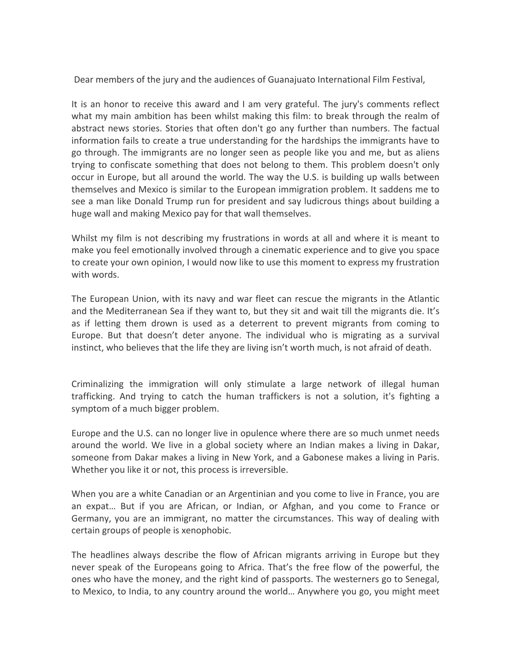Dear members of the jury and the audiences of Guanajuato International Film Festival,

It is an honor to receive this award and I am very grateful. The jury's comments reflect what my main ambition has been whilst making this film: to break through the realm of abstract news stories. Stories that often don't go any further than numbers. The factual information fails to create a true understanding for the hardships the immigrants have to go through. The immigrants are no longer seen as people like you and me, but as aliens trying to confiscate something that does not belong to them. This problem doesn't only occur in Europe, but all around the world. The way the U.S. is building up walls between themselves and Mexico is similar to the European immigration problem. It saddens me to see a man like Donald Trump run for president and say ludicrous things about building a huge wall and making Mexico pay for that wall themselves.

Whilst my film is not describing my frustrations in words at all and where it is meant to make you feel emotionally involved through a cinematic experience and to give you space to create your own opinion, I would now like to use this moment to express my frustration with words.

The European Union, with its navy and war fleet can rescue the migrants in the Atlantic and the Mediterranean Sea if they want to, but they sit and wait till the migrants die. It's as if letting them drown is used as a deterrent to prevent migrants from coming to Europe. But that doesn't deter anyone. The individual who is migrating as a survival instinct, who believes that the life they are living isn't worth much, is not afraid of death.

Criminalizing the immigration will only stimulate a large network of illegal human trafficking. And trying to catch the human traffickers is not a solution, it's fighting a symptom of a much bigger problem.

Europe and the U.S. can no longer live in opulence where there are so much unmet needs around the world. We live in a global society where an Indian makes a living in Dakar, someone from Dakar makes a living in New York, and a Gabonese makes a living in Paris. Whether you like it or not, this process is irreversible.

When you are a white Canadian or an Argentinian and you come to live in France, you are an expat... But if you are African, or Indian, or Afghan, and you come to France or Germany, you are an immigrant, no matter the circumstances. This way of dealing with certain groups of people is xenophobic.

The headlines always describe the flow of African migrants arriving in Europe but they never speak of the Europeans going to Africa. That's the free flow of the powerful, the ones who have the money, and the right kind of passports. The westerners go to Senegal, to Mexico, to India, to any country around the world... Anywhere you go, you might meet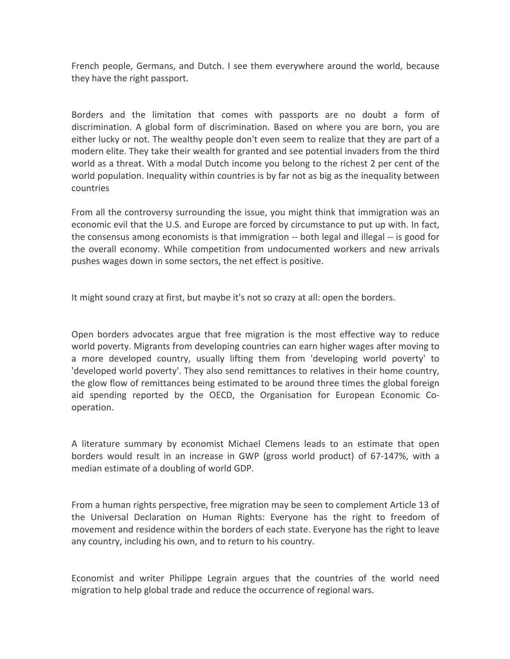French people, Germans, and Dutch. I see them everywhere around the world, because they have the right passport.

Borders and the limitation that comes with passports are no doubt a form of discrimination. A global form of discrimination. Based on where you are born, you are either lucky or not. The wealthy people don't even seem to realize that they are part of a modern elite. They take their wealth for granted and see potential invaders from the third world as a threat. With a modal Dutch income you belong to the richest 2 per cent of the world population. Inequality within countries is by far not as big as the inequality between countries

From all the controversy surrounding the issue, you might think that immigration was an economic evil that the U.S. and Europe are forced by circumstance to put up with. In fact, the consensus among economists is that immigration -- both legal and illegal -- is good for the overall economy. While competition from undocumented workers and new arrivals pushes wages down in some sectors, the net effect is positive.

It might sound crazy at first, but maybe it's not so crazy at all: open the borders.

Open borders advocates argue that free migration is the most effective way to reduce world poverty. Migrants from developing countries can earn higher wages after moving to a more developed country, usually lifting them from 'developing world poverty' to 'developed world poverty'. They also send remittances to relatives in their home country, the glow flow of remittances being estimated to be around three times the global foreign aid spending reported by the OECD, the Organisation for European Economic Cooperation.

A literature summary by economist Michael Clemens leads to an estimate that open borders would result in an increase in GWP (gross world product) of 67-147%, with a median estimate of a doubling of world GDP.

From a human rights perspective, free migration may be seen to complement Article 13 of the Universal Declaration on Human Rights: Everyone has the right to freedom of movement and residence within the borders of each state. Everyone has the right to leave any country, including his own, and to return to his country.

Economist and writer Philippe Legrain argues that the countries of the world need migration to help global trade and reduce the occurrence of regional wars.